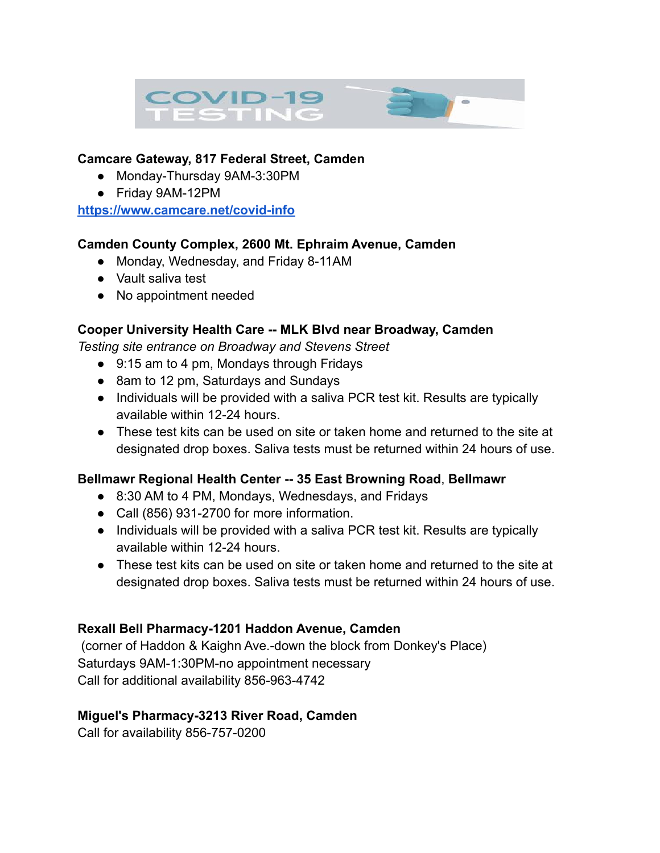

## **Camcare Gateway, 817 Federal Street, Camden**

- Monday-Thursday 9AM-3:30PM
- Friday 9AM-12PM

**<https://www.camcare.net/covid-info>**

## **Camden County Complex, 2600 Mt. Ephraim Avenue, Camden**

- Monday, Wednesday, and Friday 8-11AM
- Vault saliva test
- No appointment needed

## **Cooper University Health Care -- MLK Blvd near Broadway, Camden**

*Testing site entrance on Broadway and Stevens Street*

- 9:15 am to 4 pm, Mondays through Fridays
- 8am to 12 pm, Saturdays and Sundays
- Individuals will be provided with a saliva PCR test kit. Results are typically available within 12-24 hours.
- These test kits can be used on site or taken home and returned to the site at designated drop boxes. Saliva tests must be returned within 24 hours of use.

# **Bellmawr Regional Health Center -- 35 East Browning Road**, **Bellmawr**

- 8:30 AM to 4 PM, Mondays, Wednesdays, and Fridays
- Call (856) 931-2700 for more information.
- Individuals will be provided with a saliva PCR test kit. Results are typically available within 12-24 hours.
- These test kits can be used on site or taken home and returned to the site at designated drop boxes. Saliva tests must be returned within 24 hours of use.

# **Rexall Bell Pharmacy-1201 Haddon Avenue, Camden**

(corner of Haddon & Kaighn Ave.-down the block from Donkey's Place) Saturdays 9AM-1:30PM-no appointment necessary Call for additional availability 856-963-4742

#### **Miguel's Pharmacy-3213 River Road, Camden**

Call for availability 856-757-0200